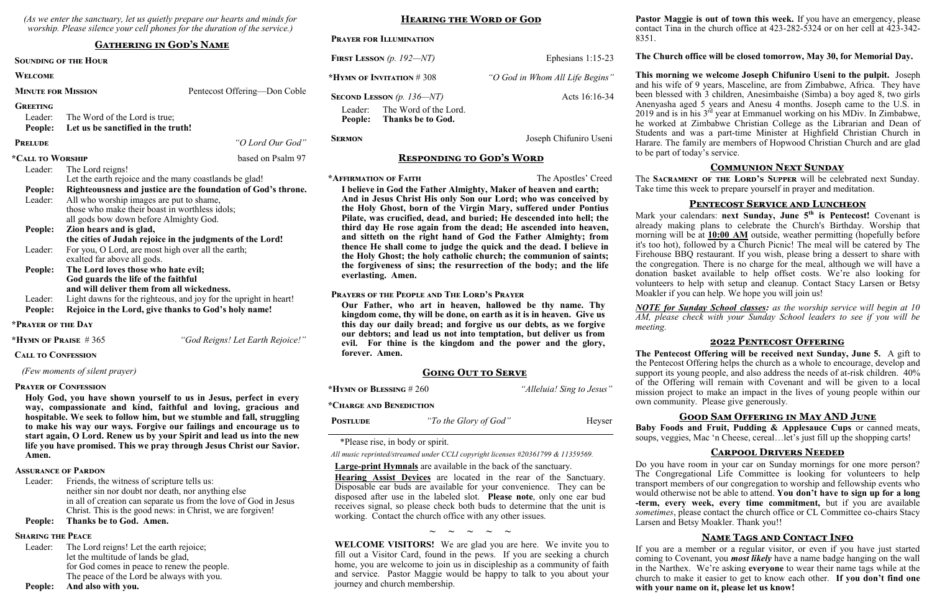*(As we enter the sanctuary, let us quietly prepare our hearts and minds for worship. Please silence your cell phones for the duration of the service.)*

#### **Gathering in God's Name**

#### **Sounding of the Hour**

#### **Welcome**

**MINUTE FOR MISSION** Pentecost Offering—Don Coble

#### **Greeting**

Leader: The Word of the Lord is true;

#### **People: Let us be sanctified in the truth!**

## **Prelude** *"O Lord Our God"*

#### **\*Call to Worship** based on Psalm 97

| Leader: | The Lord reigns!                                                 |
|---------|------------------------------------------------------------------|
|         | Let the earth rejoice and the many coastlands be glad!           |
| People: | Righteousness and justice are the foundation of God's throne.    |
| Leader: | All who worship images are put to shame,                         |
|         | those who make their boast in worthless idols;                   |
|         | all gods bow down before Almighty God.                           |
| People: | Zion hears and is glad,                                          |
|         | the cities of Judah rejoice in the judgments of the Lord!        |
| Leader: | For you, O Lord, are most high over all the earth;               |
|         | exalted far above all gods.                                      |
| People: | The Lord loves those who hate evil;                              |
|         | God guards the life of the faithful                              |
|         | and will deliver them from all wickedness.                       |
| Leader: | Light dawns for the righteous, and joy for the upright in heart! |
| People: | Rejoice in the Lord, give thanks to God's holy name!             |
|         |                                                                  |

Leader: Friends, the witness of scripture tells us: neither sin nor doubt nor death, nor anything else in all of creation can separate us from the love of God in Jesus Christ. This is the good news: in Christ, we are forgiven!

Leader: The Lord reigns! Let the earth rejoice; let the multitude of lands be glad, for God comes in peace to renew the people. The peace of the Lord be always with you.

# **Prayer for Illumination FIRST LESSON** (p. 192—NT) Ephesians 1:15-23 **\*Hymn of Invitation** # 308 *"O God in Whom All Life Begins"* **SECOND LESSON** (p. 136—NT) Acts 16:16-34 Leader: The Word of the Lord. **People: Thanks be to God. SERMON** Joseph Chifuniro Useni

**\*Prayer of the Day**

**\*Hymn of Praise** # 365 *"God Reigns! Let Earth Rejoice!"*

#### **Call to Confession**

 *(Few moments of silent prayer)*

#### **Prayer of Confession**

**Holy God, you have shown yourself to us in Jesus, perfect in every way, compassionate and kind, faithful and loving, gracious and hospitable. We seek to follow him, but we stumble and fall, struggling to make his way our ways. Forgive our failings and encourage us to start again, O Lord. Renew us by your Spirit and lead us into the new life you have promised. This we pray through Jesus Christ our Savior. Amen.**

#### **Assurance of Pardon**

## **People: Thanks be to God. Amen.**

#### **Sharing the Peace**

#### **People: And also with you.**

**Hearing the Word of God**

#### **Responding to God's Word**

**\*Affirmation of Faith** The Apostles' Creed

**I believe in God the Father Almighty, Maker of heaven and earth; And in Jesus Christ His only Son our Lord; who was conceived by the Holy Ghost, born of the Virgin Mary, suffered under Pontius Pilate, was crucified, dead, and buried; He descended into hell; the third day He rose again from the dead; He ascended into heaven, and sitteth on the right hand of God the Father Almighty; from thence He shall come to judge the quick and the dead. I believe in the Holy Ghost; the holy catholic church; the communion of saints; the forgiveness of sins; the resurrection of the body; and the life everlasting. Amen.**

Mark your calendars: **next Sunday, June 5<sup>th</sup> is Pentecost!** Covenant is already making plans to celebrate the Church's Birthday. Worship that morning will be at **10:00 AM** outside, weather permitting (hopefully before it's too hot), followed by a Church Picnic! The meal will be catered by The Firehouse BBQ restaurant. If you wish, please bring a dessert to share with the congregation. There is no charge for the meal, although we will have a donation basket available to help offset costs. We're also looking for volunteers to help with setup and cleanup. Contact Stacy Larsen or Betsy Moakler if you can help. We hope you will join us!

#### **Prayers of the People and The Lord's Prayer**

**Our Father, who art in heaven, hallowed be thy name. Thy kingdom come, thy will be done, on earth as it is in heaven. Give us this day our daily bread; and forgive us our debts, as we forgive our debtors; and lead us not into temptation, but deliver us from evil. For thine is the kingdom and the power and the glory, forever. Amen.**

> Baby Foods and Fruit, Pudding & Applesauce Cups or canned meats, soups, veggies, Mac 'n Cheese, cereal…let's just fill up the shopping carts!

#### **Going Out to Serve**

**\*Hymn of Blessing** # 260 *"Alleluia! Sing to Jesus"*

**\*Charge and Benediction**

\*Please rise, in body or spirit.

*All music reprinted/streamed under CCLI copyright licenses #20361799 & 11359569.*

**Large-print Hymnals** are available in the back of the sanctuary.

**Hearing Assist Devices** are located in the rear of the Sanctuary. Disposable ear buds are available for your convenience. They can be disposed after use in the labeled slot. **Please note**, only one ear bud receives signal, so please check both buds to determine that the unit is working. Contact the church office with any other issues.

**~ ~ ~ ~ ~**

**WELCOME VISITORS!** We are glad you are here. We invite you to fill out a Visitor Card, found in the pews. If you are seeking a church home, you are welcome to join us in discipleship as a community of faith and service. Pastor Maggie would be happy to talk to you about your journey and church membership.

8351.

#### **The Church office will be closed tomorrow, May 30, for Memorial Day.**

**This morning we welcome Joseph Chifuniro Useni to the pulpit.** Joseph and his wife of 9 years, Masceline, are from Zimbabwe, Africa. They have been blessed with 3 children, Anesimbaishe (Simba) a boy aged 8, two girls Anenyasha aged 5 years and Anesu 4 months. Joseph came to the U.S. in 2019 and is in his  $3^{rd}$  year at Emmanuel working on his MDiv. In Zimbabwe, he worked at Zimbabwe Christian College as the Librarian and Dean of Students and was a part-time Minister at Highfield Christian Church in Harare. The family are members of Hopwood Christian Church and are glad to be part of today's service.

#### **Communion Next Sunday**

The **Sacrament of the Lord's Supper** will be celebrated next Sunday. Take time this week to prepare yourself in prayer and meditation.

#### **Pentecost Service and Luncheon**

*NOTE for Sunday School classes: as the worship service will begin at 10 AM, please check with your Sunday School leaders to see if you will be* 

*meeting.*

#### **2022 Pentecost Offering**

**The Pentecost Offering will be received next Sunday, June 5.** A gift to the Pentecost Offering helps the church as a whole to encourage, develop and support its young people, and also address the needs of at-risk children. 40% of the Offering will remain with Covenant and will be given to a local mission project to make an impact in the lives of young people within our own community. Please give generously.

#### **Good Sam Offering in May AND June**

#### **Carpool Drivers Needed**

Do you have room in your car on Sunday mornings for one more person? The Congregational Life Committee is looking for volunteers to help transport members of our congregation to worship and fellowship events who would otherwise not be able to attend. **You don't have to sign up for a long -term, every week, every time commitment,** but if you are available *sometimes*, please contact the church office or CL Committee co-chairs Stacy Larsen and Betsy Moakler. Thank you!!

#### **Name Tags and Contact Info**

If you are a member or a regular visitor, or even if you have just started coming to Covenant, you *most likely* have a name badge hanging on the wall in the Narthex. We're asking **everyone** to wear their name tags while at the church to make it easier to get to know each other. **If you don't find one with your name on it, please let us know!**

**POSTLUDE** *"To the Glory of God"* Heyser